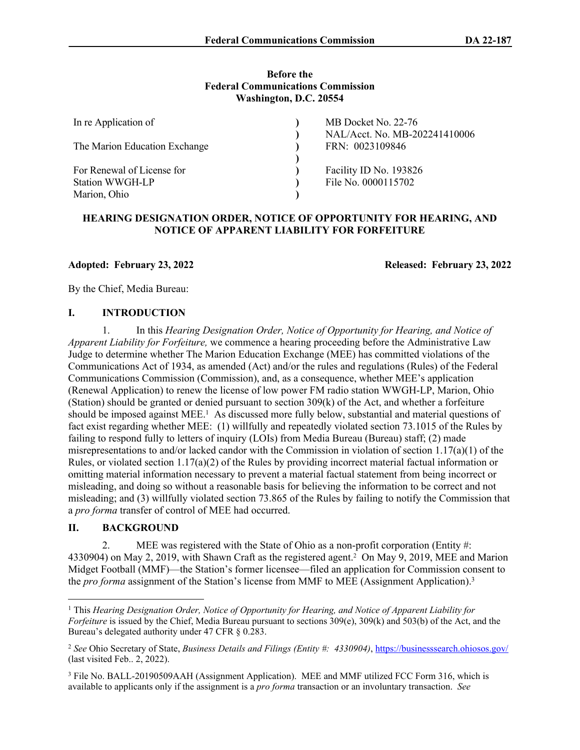#### **Before the Federal Communications Commission Washington, D.C. 20554**

| In re Application of<br>The Marion Education Exchange                | MB Docket No. 22-76<br>NAL/Acct. No. MB-202241410006<br>FRN: 0023109846 |
|----------------------------------------------------------------------|-------------------------------------------------------------------------|
| For Renewal of License for<br><b>Station WWGH-LP</b><br>Marion, Ohio | Facility ID No. 193826<br>File No. 0000115702                           |

## **HEARING DESIGNATION ORDER, NOTICE OF OPPORTUNITY FOR HEARING, AND NOTICE OF APPARENT LIABILITY FOR FORFEITURE**

**Adopted: February 23, 2022 Released: February 23, 2022**

By the Chief, Media Bureau:

#### **I. INTRODUCTION**

1. In this *Hearing Designation Order, Notice of Opportunity for Hearing, and Notice of Apparent Liability for Forfeiture,* we commence a hearing proceeding before the Administrative Law Judge to determine whether The Marion Education Exchange (MEE) has committed violations of the Communications Act of 1934, as amended (Act) and/or the rules and regulations (Rules) of the Federal Communications Commission (Commission), and, as a consequence, whether MEE's application (Renewal Application) to renew the license of low power FM radio station WWGH-LP, Marion, Ohio (Station) should be granted or denied pursuant to section 309(k) of the Act, and whether a forfeiture should be imposed against MEE.<sup>1</sup> As discussed more fully below, substantial and material questions of fact exist regarding whether MEE: (1) willfully and repeatedly violated section 73.1015 of the Rules by failing to respond fully to letters of inquiry (LOIs) from Media Bureau (Bureau) staff; (2) made misrepresentations to and/or lacked candor with the Commission in violation of section 1.17(a)(1) of the Rules, or violated section  $1.17(a)(2)$  of the Rules by providing incorrect material factual information or omitting material information necessary to prevent a material factual statement from being incorrect or misleading, and doing so without a reasonable basis for believing the information to be correct and not misleading; and (3) willfully violated section 73.865 of the Rules by failing to notify the Commission that a *pro forma* transfer of control of MEE had occurred.

#### **II. BACKGROUND**

2. MEE was registered with the State of Ohio as a non-profit corporation (Entity #: 4330904) on May 2, 2019, with Shawn Craft as the registered agent.<sup>2</sup> On May 9, 2019, MEE and Marion Midget Football (MMF)—the Station's former licensee—filed an application for Commission consent to the *pro forma* assignment of the Station's license from MMF to MEE (Assignment Application).<sup>3</sup>

<sup>1</sup> This *Hearing Designation Order, Notice of Opportunity for Hearing, and Notice of Apparent Liability for Forfeiture* is issued by the Chief, Media Bureau pursuant to sections 309(e), 309(k) and 503(b) of the Act, and the Bureau's delegated authority under 47 CFR § 0.283.

<sup>2</sup> *See* Ohio Secretary of State, *Business Details and Filings (Entity #: 4330904)*,<https://businesssearch.ohiosos.gov/> (last visited Feb.. 2, 2022).

<sup>&</sup>lt;sup>3</sup> File No. BALL-20190509AAH (Assignment Application). MEE and MMF utilized FCC Form 316, which is available to applicants only if the assignment is a *pro forma* transaction or an involuntary transaction. *See*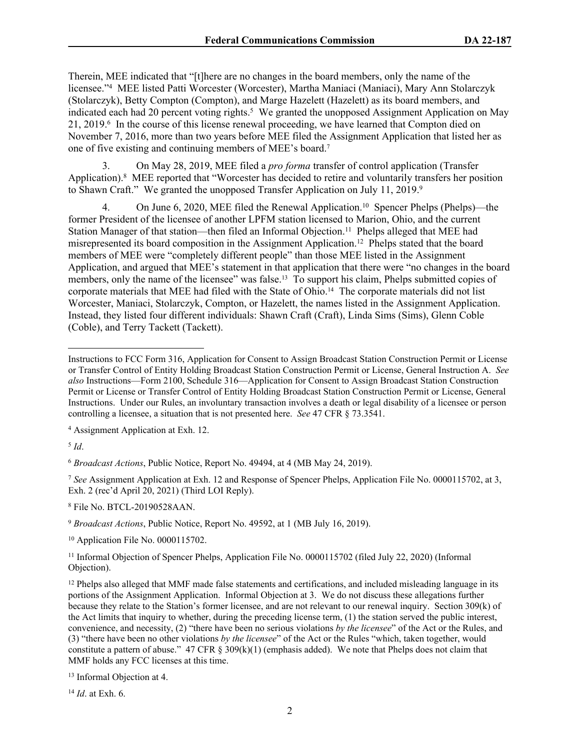Therein, MEE indicated that "[t]here are no changes in the board members, only the name of the licensee."<sup>4</sup> MEE listed Patti Worcester (Worcester), Martha Maniaci (Maniaci), Mary Ann Stolarczyk (Stolarczyk), Betty Compton (Compton), and Marge Hazelett (Hazelett) as its board members, and indicated each had 20 percent voting rights.<sup>5</sup> We granted the unopposed Assignment Application on May 21, 2019.<sup>6</sup> In the course of this license renewal proceeding, we have learned that Compton died on November 7, 2016, more than two years before MEE filed the Assignment Application that listed her as one of five existing and continuing members of MEE's board.<sup>7</sup>

3. On May 28, 2019, MEE filed a *pro forma* transfer of control application (Transfer Application).<sup>8</sup> MEE reported that "Worcester has decided to retire and voluntarily transfers her position to Shawn Craft." We granted the unopposed Transfer Application on July 11, 2019.<sup>9</sup>

4. On June 6, 2020, MEE filed the Renewal Application.<sup>10</sup> Spencer Phelps (Phelps)—the former President of the licensee of another LPFM station licensed to Marion, Ohio, and the current Station Manager of that station—then filed an Informal Objection.<sup>11</sup> Phelps alleged that MEE had misrepresented its board composition in the Assignment Application.<sup>12</sup> Phelps stated that the board members of MEE were "completely different people" than those MEE listed in the Assignment Application, and argued that MEE's statement in that application that there were "no changes in the board members, only the name of the licensee" was false.<sup>13</sup> To support his claim, Phelps submitted copies of corporate materials that MEE had filed with the State of Ohio.14 The corporate materials did not list Worcester, Maniaci, Stolarczyk, Compton, or Hazelett, the names listed in the Assignment Application. Instead, they listed four different individuals: Shawn Craft (Craft), Linda Sims (Sims), Glenn Coble (Coble), and Terry Tackett (Tackett).

4 Assignment Application at Exh. 12.

5 *Id*.

<sup>6</sup> *Broadcast Actions*, Public Notice, Report No. 49494, at 4 (MB May 24, 2019).

<sup>7</sup> *See* Assignment Application at Exh. 12 and Response of Spencer Phelps, Application File No. 0000115702, at 3, Exh. 2 (rec'd April 20, 2021) (Third LOI Reply).

8 File No. BTCL-20190528AAN.

<sup>9</sup> *Broadcast Actions*, Public Notice, Report No. 49592, at 1 (MB July 16, 2019).

<sup>10</sup> Application File No. 0000115702.

<sup>11</sup> Informal Objection of Spencer Phelps, Application File No. 0000115702 (filed July 22, 2020) (Informal Objection).

 $12$  Phelps also alleged that MMF made false statements and certifications, and included misleading language in its portions of the Assignment Application. Informal Objection at 3. We do not discuss these allegations further because they relate to the Station's former licensee, and are not relevant to our renewal inquiry. Section 309(k) of the Act limits that inquiry to whether, during the preceding license term, (1) the station served the public interest, convenience, and necessity, (2) "there have been no serious violations *by the licensee*" of the Act or the Rules, and (3) "there have been no other violations *by the licensee*" of the Act or the Rules "which, taken together, would constitute a pattern of abuse." 47 CFR § 309(k)(1) (emphasis added). We note that Phelps does not claim that MMF holds any FCC licenses at this time.

<sup>14</sup> *Id*. at Exh. 6.

Instructions to FCC Form 316, Application for Consent to Assign Broadcast Station Construction Permit or License or Transfer Control of Entity Holding Broadcast Station Construction Permit or License, General Instruction A. *See also* Instructions—Form 2100, Schedule 316—Application for Consent to Assign Broadcast Station Construction Permit or License or Transfer Control of Entity Holding Broadcast Station Construction Permit or License, General Instructions. Under our Rules, an involuntary transaction involves a death or legal disability of a licensee or person controlling a licensee, a situation that is not presented here. *See* 47 CFR § 73.3541.

<sup>13</sup> Informal Objection at 4.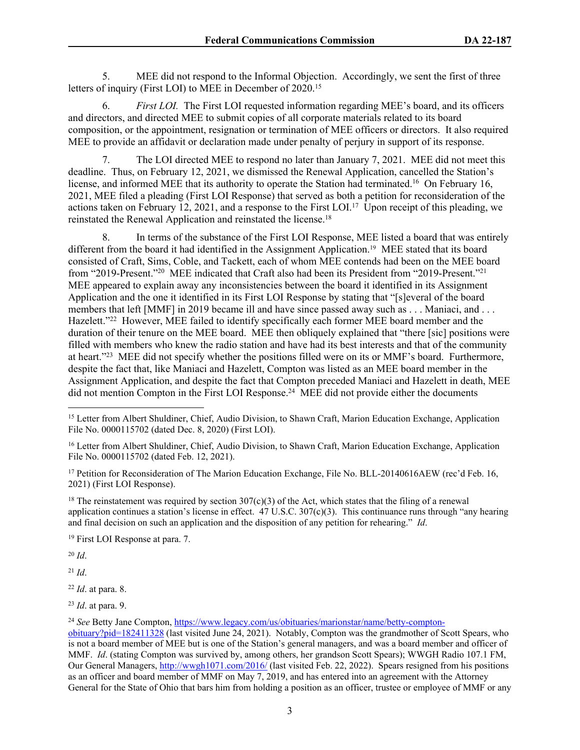5. MEE did not respond to the Informal Objection. Accordingly, we sent the first of three letters of inquiry (First LOI) to MEE in December of 2020.<sup>15</sup>

6. *First LOI.* The First LOI requested information regarding MEE's board, and its officers and directors, and directed MEE to submit copies of all corporate materials related to its board composition, or the appointment, resignation or termination of MEE officers or directors. It also required MEE to provide an affidavit or declaration made under penalty of perjury in support of its response.

7. The LOI directed MEE to respond no later than January 7, 2021. MEE did not meet this deadline. Thus, on February 12, 2021, we dismissed the Renewal Application, cancelled the Station's license, and informed MEE that its authority to operate the Station had terminated.<sup>16</sup> On February 16, 2021, MEE filed a pleading (First LOI Response) that served as both a petition for reconsideration of the actions taken on February 12, 2021, and a response to the First LOI.<sup>17</sup> Upon receipt of this pleading, we reinstated the Renewal Application and reinstated the license.<sup>18</sup>

8. In terms of the substance of the First LOI Response, MEE listed a board that was entirely different from the board it had identified in the Assignment Application.19 MEE stated that its board consisted of Craft, Sims, Coble, and Tackett, each of whom MEE contends had been on the MEE board from "2019-Present."<sup>20</sup> MEE indicated that Craft also had been its President from "2019-Present."<sup>21</sup> MEE appeared to explain away any inconsistencies between the board it identified in its Assignment Application and the one it identified in its First LOI Response by stating that "[s]everal of the board members that left [MMF] in 2019 became ill and have since passed away such as . . . Maniaci, and . . . Hazelett."<sup>22</sup> However, MEE failed to identify specifically each former MEE board member and the duration of their tenure on the MEE board. MEE then obliquely explained that "there [sic] positions were filled with members who knew the radio station and have had its best interests and that of the community at heart."<sup>23</sup> MEE did not specify whether the positions filled were on its or MMF's board. Furthermore, despite the fact that, like Maniaci and Hazelett, Compton was listed as an MEE board member in the Assignment Application, and despite the fact that Compton preceded Maniaci and Hazelett in death, MEE did not mention Compton in the First LOI Response.<sup>24</sup> MEE did not provide either the documents

<sup>17</sup> Petition for Reconsideration of The Marion Education Exchange, File No. BLL-20140616AEW (rec'd Feb. 16, 2021) (First LOI Response).

<sup>18</sup> The reinstatement was required by section  $307(c)(3)$  of the Act, which states that the filing of a renewal application continues a station's license in effect.  $47 \text{ U.S.C. } 307 \text{ (c)}(3)$ . This continuance runs through "any hearing" and final decision on such an application and the disposition of any petition for rehearing." *Id*.

<sup>19</sup> First LOI Response at para. 7.

<sup>20</sup> *Id*.

<sup>21</sup> *Id*.

<sup>22</sup> *Id*. at para. 8.

<sup>23</sup> *Id*. at para. 9.

<sup>24</sup> *See* Betty Jane Compton, [https://www.legacy.com/us/obituaries/marionstar/name/betty-compton-](https://www.legacy.com/us/obituaries/marionstar/name/betty-compton-obituary?pid=182411328)

<sup>&</sup>lt;sup>15</sup> Letter from Albert Shuldiner, Chief, Audio Division, to Shawn Craft, Marion Education Exchange, Application File No. 0000115702 (dated Dec. 8, 2020) (First LOI).

<sup>16</sup> Letter from Albert Shuldiner, Chief, Audio Division, to Shawn Craft, Marion Education Exchange, Application File No. 0000115702 (dated Feb. 12, 2021).

[obituary?pid=182411328](https://www.legacy.com/us/obituaries/marionstar/name/betty-compton-obituary?pid=182411328) (last visited June 24, 2021). Notably, Compton was the grandmother of Scott Spears, who is not a board member of MEE but is one of the Station's general managers, and was a board member and officer of MMF. *Id*. (stating Compton was survived by, among others, her grandson Scott Spears); WWGH Radio 107.1 FM, Our General Managers, <http://wwgh1071.com/2016/> (last visited Feb. 22, 2022). Spears resigned from his positions as an officer and board member of MMF on May 7, 2019, and has entered into an agreement with the Attorney General for the State of Ohio that bars him from holding a position as an officer, trustee or employee of MMF or any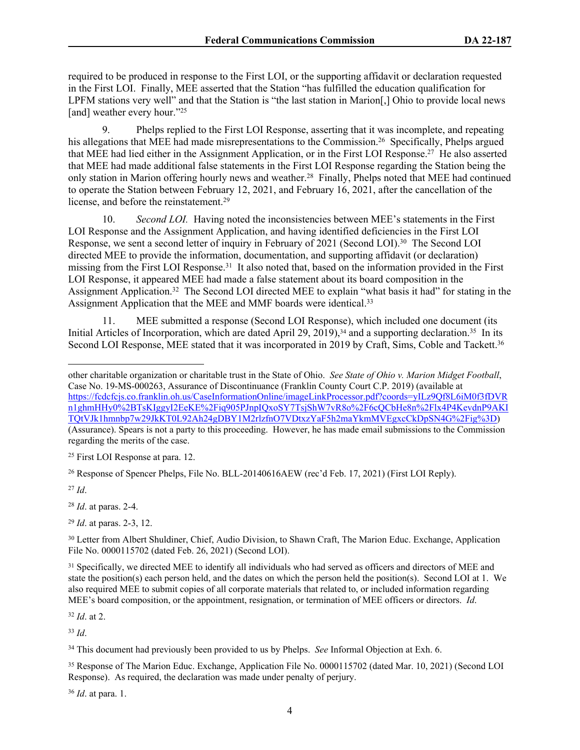required to be produced in response to the First LOI, or the supporting affidavit or declaration requested in the First LOI. Finally, MEE asserted that the Station "has fulfilled the education qualification for LPFM stations very well" and that the Station is "the last station in Marion[,] Ohio to provide local news [and] weather every hour."<sup>25</sup>

9. Phelps replied to the First LOI Response, asserting that it was incomplete, and repeating his allegations that MEE had made misrepresentations to the Commission.<sup>26</sup> Specifically, Phelps argued that MEE had lied either in the Assignment Application, or in the First LOI Response.<sup>27</sup> He also asserted that MEE had made additional false statements in the First LOI Response regarding the Station being the only station in Marion offering hourly news and weather.<sup>28</sup> Finally, Phelps noted that MEE had continued to operate the Station between February 12, 2021, and February 16, 2021, after the cancellation of the license, and before the reinstatement.<sup>29</sup>

10. *Second LOI.* Having noted the inconsistencies between MEE's statements in the First LOI Response and the Assignment Application, and having identified deficiencies in the First LOI Response, we sent a second letter of inquiry in February of 2021 (Second LOI).<sup>30</sup> The Second LOI directed MEE to provide the information, documentation, and supporting affidavit (or declaration) missing from the First LOI Response.<sup>31</sup> It also noted that, based on the information provided in the First LOI Response, it appeared MEE had made a false statement about its board composition in the Assignment Application.<sup>32</sup> The Second LOI directed MEE to explain "what basis it had" for stating in the Assignment Application that the MEE and MMF boards were identical.<sup>33</sup>

11. MEE submitted a response (Second LOI Response), which included one document (its Initial Articles of Incorporation, which are dated April 29, 2019),<sup>34</sup> and a supporting declaration.<sup>35</sup> In its Second LOI Response, MEE stated that it was incorporated in 2019 by Craft, Sims, Coble and Tackett.<sup>36</sup>

<sup>25</sup> First LOI Response at para. 12.

<sup>27</sup> *Id*.

<sup>28</sup> *Id*. at paras. 2-4.

<sup>29</sup> *Id*. at paras. 2-3, 12.

<sup>30</sup> Letter from Albert Shuldiner, Chief, Audio Division, to Shawn Craft, The Marion Educ. Exchange, Application File No. 0000115702 (dated Feb. 26, 2021) (Second LOI).

<sup>32</sup> *Id*. at 2.

<sup>33</sup> *Id*.

<sup>36</sup> *Id*. at para. 1.

other charitable organization or charitable trust in the State of Ohio. *See State of Ohio v. Marion Midget Football*, Case No. 19-MS-000263, Assurance of Discontinuance (Franklin County Court C.P. 2019) (available at [https://fcdcfcjs.co.franklin.oh.us/CaseInformationOnline/imageLinkProcessor.pdf?coords=yILz9Qf8L6iM0f3fDVR](https://fcdcfcjs.co.franklin.oh.us/CaseInformationOnline/imageLinkProcessor.pdf?coords=yILz9Qf8L6iM0f3fDVRn1ghmHHy0%2BTsKIggyI2EeKE%2Fiq905PJnpIQxoSY7TsjShW7vR8o%2F6cQCbHe8n%2Flx4P4KevdnP9AKITQtVJk1hmnbp7w29JkKT0L92Ah24gDBY1M2rlzfnO7VDtxzYaF5h2maYkmMVEgxcCkDpSN4G%2Fig%3D) [n1ghmHHy0%2BTsKIggyI2EeKE%2Fiq905PJnpIQxoSY7TsjShW7vR8o%2F6cQCbHe8n%2Flx4P4KevdnP9AKI](https://fcdcfcjs.co.franklin.oh.us/CaseInformationOnline/imageLinkProcessor.pdf?coords=yILz9Qf8L6iM0f3fDVRn1ghmHHy0%2BTsKIggyI2EeKE%2Fiq905PJnpIQxoSY7TsjShW7vR8o%2F6cQCbHe8n%2Flx4P4KevdnP9AKITQtVJk1hmnbp7w29JkKT0L92Ah24gDBY1M2rlzfnO7VDtxzYaF5h2maYkmMVEgxcCkDpSN4G%2Fig%3D) [TQtVJk1hmnbp7w29JkKT0L92Ah24gDBY1M2rlzfnO7VDtxzYaF5h2maYkmMVEgxcCkDpSN4G%2Fig%3D\)](https://fcdcfcjs.co.franklin.oh.us/CaseInformationOnline/imageLinkProcessor.pdf?coords=yILz9Qf8L6iM0f3fDVRn1ghmHHy0%2BTsKIggyI2EeKE%2Fiq905PJnpIQxoSY7TsjShW7vR8o%2F6cQCbHe8n%2Flx4P4KevdnP9AKITQtVJk1hmnbp7w29JkKT0L92Ah24gDBY1M2rlzfnO7VDtxzYaF5h2maYkmMVEgxcCkDpSN4G%2Fig%3D) (Assurance). Spears is not a party to this proceeding. However, he has made email submissions to the Commission regarding the merits of the case.

<sup>26</sup> Response of Spencer Phelps, File No. BLL-20140616AEW (rec'd Feb. 17, 2021) (First LOI Reply).

<sup>&</sup>lt;sup>31</sup> Specifically, we directed MEE to identify all individuals who had served as officers and directors of MEE and state the position(s) each person held, and the dates on which the person held the position(s). Second LOI at 1. We also required MEE to submit copies of all corporate materials that related to, or included information regarding MEE's board composition, or the appointment, resignation, or termination of MEE officers or directors. *Id*.

<sup>&</sup>lt;sup>34</sup> This document had previously been provided to us by Phelps. *See* Informal Objection at Exh. 6.

<sup>&</sup>lt;sup>35</sup> Response of The Marion Educ. Exchange, Application File No. 0000115702 (dated Mar. 10, 2021) (Second LOI Response). As required, the declaration was made under penalty of perjury.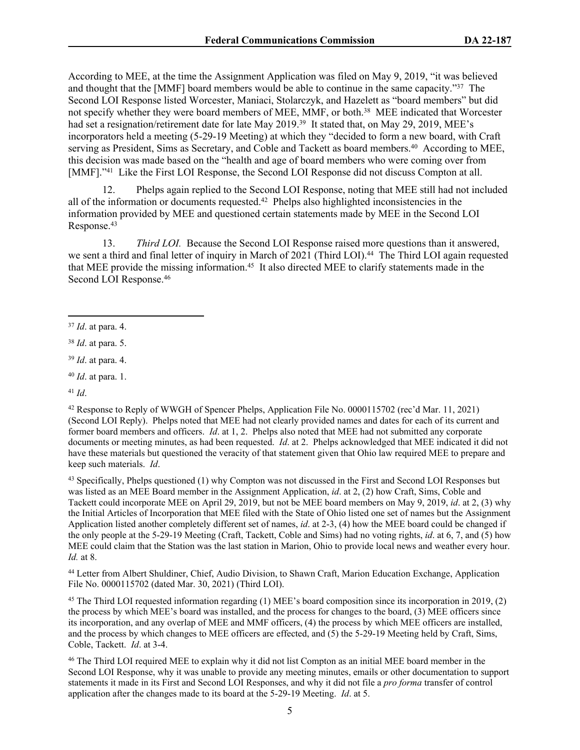According to MEE, at the time the Assignment Application was filed on May 9, 2019, "it was believed and thought that the [MMF] board members would be able to continue in the same capacity."<sup>37</sup> The Second LOI Response listed Worcester, Maniaci, Stolarczyk, and Hazelett as "board members" but did not specify whether they were board members of MEE, MMF, or both.<sup>38</sup> MEE indicated that Worcester had set a resignation/retirement date for late May 2019.<sup>39</sup> It stated that, on May 29, 2019, MEE's incorporators held a meeting (5-29-19 Meeting) at which they "decided to form a new board, with Craft serving as President, Sims as Secretary, and Coble and Tackett as board members.<sup>40</sup> According to MEE, this decision was made based on the "health and age of board members who were coming over from [MMF]."<sup>41</sup> Like the First LOI Response, the Second LOI Response did not discuss Compton at all.

12. Phelps again replied to the Second LOI Response, noting that MEE still had not included all of the information or documents requested.<sup>42</sup> Phelps also highlighted inconsistencies in the information provided by MEE and questioned certain statements made by MEE in the Second LOI Response.<sup>43</sup>

13. *Third LOI.* Because the Second LOI Response raised more questions than it answered, we sent a third and final letter of inquiry in March of 2021 (Third LOI).<sup>44</sup> The Third LOI again requested that MEE provide the missing information.<sup>45</sup> It also directed MEE to clarify statements made in the Second LOI Response.<sup>46</sup>

<sup>41</sup> *Id*.

<sup>42</sup> Response to Reply of WWGH of Spencer Phelps, Application File No. 0000115702 (rec'd Mar. 11, 2021) (Second LOI Reply). Phelps noted that MEE had not clearly provided names and dates for each of its current and former board members and officers. *Id*. at 1, 2. Phelps also noted that MEE had not submitted any corporate documents or meeting minutes, as had been requested. *Id*. at 2. Phelps acknowledged that MEE indicated it did not have these materials but questioned the veracity of that statement given that Ohio law required MEE to prepare and keep such materials. *Id*.

<sup>43</sup> Specifically, Phelps questioned (1) why Compton was not discussed in the First and Second LOI Responses but was listed as an MEE Board member in the Assignment Application, *id*. at 2, (2) how Craft, Sims, Coble and Tackett could incorporate MEE on April 29, 2019, but not be MEE board members on May 9, 2019, *id*. at 2, (3) why the Initial Articles of Incorporation that MEE filed with the State of Ohio listed one set of names but the Assignment Application listed another completely different set of names, *id*. at 2-3, (4) how the MEE board could be changed if the only people at the 5-29-19 Meeting (Craft, Tackett, Coble and Sims) had no voting rights, *id*. at 6, 7, and (5) how MEE could claim that the Station was the last station in Marion, Ohio to provide local news and weather every hour. *Id.* at 8.

<sup>44</sup> Letter from Albert Shuldiner, Chief, Audio Division, to Shawn Craft, Marion Education Exchange, Application File No. 0000115702 (dated Mar. 30, 2021) (Third LOI).

<sup>45</sup> The Third LOI requested information regarding (1) MEE's board composition since its incorporation in 2019, (2) the process by which MEE's board was installed, and the process for changes to the board, (3) MEE officers since its incorporation, and any overlap of MEE and MMF officers, (4) the process by which MEE officers are installed, and the process by which changes to MEE officers are effected, and (5) the 5-29-19 Meeting held by Craft, Sims, Coble, Tackett. *Id*. at 3-4.

<sup>46</sup> The Third LOI required MEE to explain why it did not list Compton as an initial MEE board member in the Second LOI Response, why it was unable to provide any meeting minutes, emails or other documentation to support statements it made in its First and Second LOI Responses, and why it did not file a *pro forma* transfer of control application after the changes made to its board at the 5-29-19 Meeting. *Id*. at 5.

5

<sup>37</sup> *Id*. at para. 4.

<sup>38</sup> *Id*. at para. 5.

<sup>39</sup> *Id*. at para. 4.

<sup>40</sup> *Id*. at para. 1.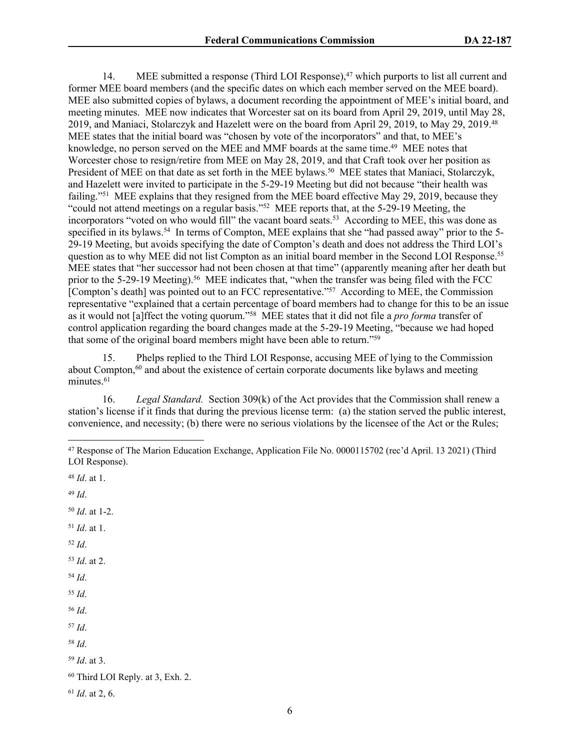14. MEE submitted a response (Third LOI Response),<sup>47</sup> which purports to list all current and former MEE board members (and the specific dates on which each member served on the MEE board). MEE also submitted copies of bylaws, a document recording the appointment of MEE's initial board, and meeting minutes. MEE now indicates that Worcester sat on its board from April 29, 2019, until May 28, 2019, and Maniaci, Stolarczyk and Hazelett were on the board from April 29, 2019, to May 29, 2019.<sup>48</sup> MEE states that the initial board was "chosen by vote of the incorporators" and that, to MEE's knowledge, no person served on the MEE and MMF boards at the same time.<sup>49</sup> MEE notes that Worcester chose to resign/retire from MEE on May 28, 2019, and that Craft took over her position as President of MEE on that date as set forth in the MEE bylaws.<sup>50</sup> MEE states that Maniaci, Stolarczyk, and Hazelett were invited to participate in the 5-29-19 Meeting but did not because "their health was failing."<sup>51</sup> MEE explains that they resigned from the MEE board effective May 29, 2019, because they "could not attend meetings on a regular basis."<sup>52</sup> MEE reports that, at the 5-29-19 Meeting, the incorporators "voted on who would fill" the vacant board seats.<sup>53</sup> According to MEE, this was done as specified in its bylaws.<sup>54</sup> In terms of Compton, MEE explains that she "had passed away" prior to the 5-29-19 Meeting, but avoids specifying the date of Compton's death and does not address the Third LOI's question as to why MEE did not list Compton as an initial board member in the Second LOI Response.<sup>55</sup> MEE states that "her successor had not been chosen at that time" (apparently meaning after her death but prior to the 5-29-19 Meeting).<sup>56</sup> MEE indicates that, "when the transfer was being filed with the FCC [Compton's death] was pointed out to an FCC representative."<sup>57</sup> According to MEE, the Commission representative "explained that a certain percentage of board members had to change for this to be an issue as it would not [a]ffect the voting quorum."<sup>58</sup> MEE states that it did not file a *pro forma* transfer of control application regarding the board changes made at the 5-29-19 Meeting, "because we had hoped that some of the original board members might have been able to return."<sup>59</sup>

15. Phelps replied to the Third LOI Response, accusing MEE of lying to the Commission about Compton, $60$  and about the existence of certain corporate documents like bylaws and meeting minutes.<sup>61</sup>

16. *Legal Standard.* Section 309(k) of the Act provides that the Commission shall renew a station's license if it finds that during the previous license term: (a) the station served the public interest, convenience, and necessity; (b) there were no serious violations by the licensee of the Act or the Rules;

<sup>50</sup> *Id*. at 1-2.

- <sup>51</sup> *Id*. at 1. <sup>52</sup> *Id*.
- <sup>53</sup> *Id*. at 2.
- <sup>54</sup> *Id*.

<sup>55</sup> *Id*.

- <sup>56</sup> *Id*.
- <sup>57</sup> *Id*.
- <sup>58</sup> *Id*.
- <sup>59</sup> *Id*. at 3.

<sup>47</sup> Response of The Marion Education Exchange, Application File No. 0000115702 (rec'd April. 13 2021) (Third LOI Response).

<sup>48</sup> *Id*. at 1.

<sup>49</sup> *Id*.

<sup>60</sup> Third LOI Reply. at 3, Exh. 2.

<sup>61</sup> *Id*. at 2, 6.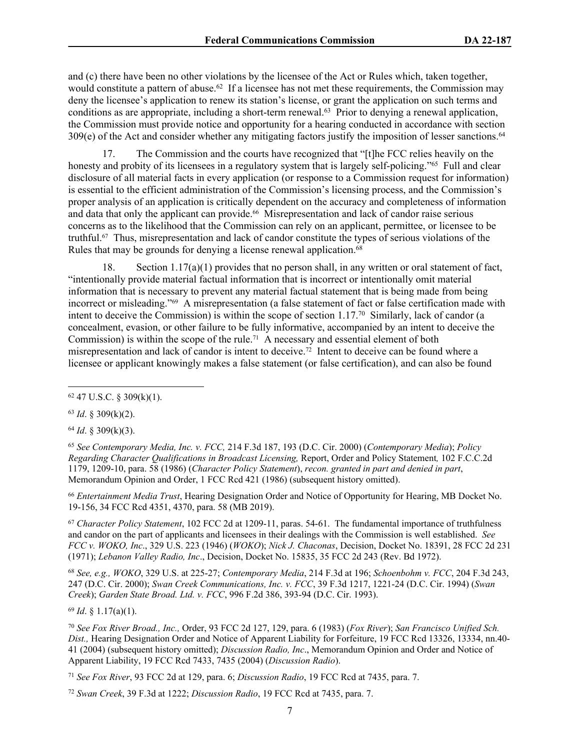and (c) there have been no other violations by the licensee of the Act or Rules which, taken together, would constitute a pattern of abuse.<sup>62</sup> If a licensee has not met these requirements, the Commission may deny the licensee's application to renew its station's license, or grant the application on such terms and conditions as are appropriate, including a short-term renewal.<sup>63</sup> Prior to denying a renewal application, the Commission must provide notice and opportunity for a hearing conducted in accordance with section 309(e) of the Act and consider whether any mitigating factors justify the imposition of lesser sanctions.<sup>64</sup>

17. The Commission and the courts have recognized that "[t]he FCC relies heavily on the honesty and probity of its licensees in a regulatory system that is largely self-policing."<sup>65</sup> Full and clear disclosure of all material facts in every application (or response to a Commission request for information) is essential to the efficient administration of the Commission's licensing process, and the Commission's proper analysis of an application is critically dependent on the accuracy and completeness of information and data that only the applicant can provide.<sup>66</sup> Misrepresentation and lack of candor raise serious concerns as to the likelihood that the Commission can rely on an applicant, permittee, or licensee to be truthful.67 Thus, misrepresentation and lack of candor constitute the types of serious violations of the Rules that may be grounds for denying a license renewal application.<sup>68</sup>

18. Section  $1.17(a)(1)$  provides that no person shall, in any written or oral statement of fact, "intentionally provide material factual information that is incorrect or intentionally omit material information that is necessary to prevent any material factual statement that is being made from being incorrect or misleading."69 A misrepresentation (a false statement of fact or false certification made with intent to deceive the Commission) is within the scope of section  $1.17$ <sup>70</sup> Similarly, lack of candor (a concealment, evasion, or other failure to be fully informative, accompanied by an intent to deceive the Commission) is within the scope of the rule.71 A necessary and essential element of both misrepresentation and lack of candor is intent to deceive.72 Intent to deceive can be found where a licensee or applicant knowingly makes a false statement (or false certification), and can also be found

<sup>63</sup> *Id*. § 309(k)(2).

<sup>64</sup> *Id*. § 309(k)(3).

<sup>65</sup> *See Contemporary Media, Inc. v. FCC,* 214 F.3d 187, 193 (D.C. Cir. 2000) (*Contemporary Media*); *Policy Regarding Character Qualifications in Broadcast Licensing,* Report, Order and Policy Statement*,* 102 F.C.C.2d 1179, 1209-10, para. 58 (1986) (*Character Policy Statement*), *recon. granted in part and denied in part*, Memorandum Opinion and Order, 1 FCC Rcd 421 (1986) (subsequent history omitted).

<sup>66</sup> *Entertainment Media Trust*, Hearing Designation Order and Notice of Opportunity for Hearing, MB Docket No. 19-156, 34 FCC Rcd 4351, 4370, para. 58 (MB 2019).

<sup>67</sup> *Character Policy Statement*, 102 FCC 2d at 1209-11, paras. 54-61. The fundamental importance of truthfulness and candor on the part of applicants and licensees in their dealings with the Commission is well established. *See FCC v. WOKO, Inc*., 329 U.S. 223 (1946) (*WOKO*); *Nick J. Chaconas*, Decision, Docket No. 18391, 28 FCC 2d 231 (1971); *Lebanon Valley Radio, Inc*., Decision, Docket No. 15835, 35 FCC 2d 243 (Rev. Bd 1972).

<sup>68</sup> *See, e.g., WOKO*, 329 U.S. at 225-27; *Contemporary Media*, 214 F.3d at 196; *Schoenbohm v. FCC*, 204 F.3d 243, 247 (D.C. Cir. 2000); *Swan Creek Communications, Inc. v. FCC*, 39 F.3d 1217, 1221-24 (D.C. Cir. 1994) (*Swan Creek*); *Garden State Broad. Ltd. v. FCC*, 996 F.2d 386, 393-94 (D.C. Cir. 1993).

<sup>69</sup> *Id*. § 1.17(a)(1).

<sup>70</sup> *See Fox River Broad., Inc.,* Order, 93 FCC 2d 127, 129, para. 6 (1983) (*Fox River*); *San Francisco Unified Sch. Dist.,* Hearing Designation Order and Notice of Apparent Liability for Forfeiture, 19 FCC Rcd 13326, 13334, nn.40- 41 (2004) (subsequent history omitted); *Discussion Radio, Inc*., Memorandum Opinion and Order and Notice of Apparent Liability, 19 FCC Rcd 7433, 7435 (2004) (*Discussion Radio*).

<sup>71</sup> *See Fox River*, 93 FCC 2d at 129, para. 6; *Discussion Radio*, 19 FCC Rcd at 7435, para. 7.

 $62$  47 U.S.C. § 309(k)(1).

<sup>72</sup> *Swan Creek*, 39 F.3d at 1222; *Discussion Radio*, 19 FCC Rcd at 7435, para. 7.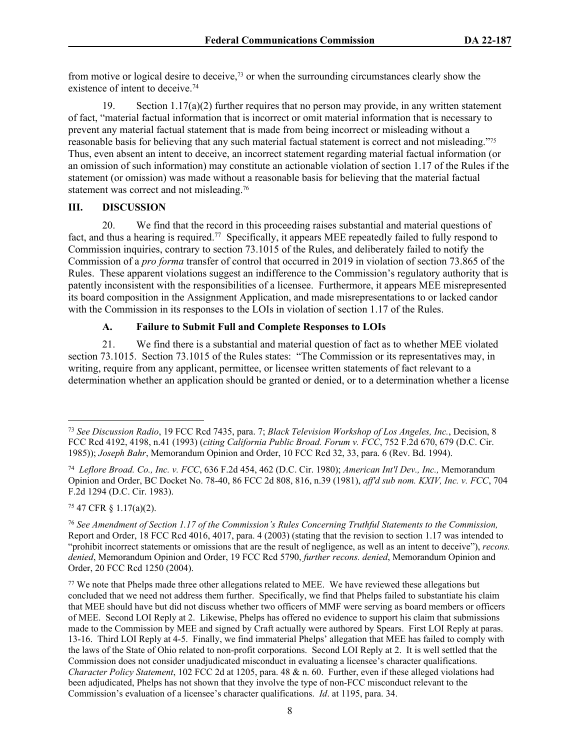from motive or logical desire to deceive,73 or when the surrounding circumstances clearly show the existence of intent to deceive.<sup>74</sup>

19. Section  $1.17(a)(2)$  further requires that no person may provide, in any written statement of fact, "material factual information that is incorrect or omit material information that is necessary to prevent any material factual statement that is made from being incorrect or misleading without a reasonable basis for believing that any such material factual statement is correct and not misleading."<sup>75</sup> Thus, even absent an intent to deceive, an incorrect statement regarding material factual information (or an omission of such information) may constitute an actionable violation of section 1.17 of the Rules if the statement (or omission) was made without a reasonable basis for believing that the material factual statement was correct and not misleading.<sup>76</sup>

#### **III. DISCUSSION**

20. We find that the record in this proceeding raises substantial and material questions of fact, and thus a hearing is required.<sup>77</sup> Specifically, it appears MEE repeatedly failed to fully respond to Commission inquiries, contrary to section 73.1015 of the Rules, and deliberately failed to notify the Commission of a *pro forma* transfer of control that occurred in 2019 in violation of section 73.865 of the Rules. These apparent violations suggest an indifference to the Commission's regulatory authority that is patently inconsistent with the responsibilities of a licensee. Furthermore, it appears MEE misrepresented its board composition in the Assignment Application, and made misrepresentations to or lacked candor with the Commission in its responses to the LOIs in violation of section 1.17 of the Rules.

# **A. Failure to Submit Full and Complete Responses to LOIs**

21. We find there is a substantial and material question of fact as to whether MEE violated section 73.1015. Section 73.1015 of the Rules states: "The Commission or its representatives may, in writing, require from any applicant, permittee, or licensee written statements of fact relevant to a determination whether an application should be granted or denied, or to a determination whether a license

<sup>75</sup> 47 CFR § 1.17(a)(2).

<sup>73</sup> *See Discussion Radio*, 19 FCC Rcd 7435, para. 7; *Black Television Workshop of Los Angeles, Inc.*, Decision, 8 FCC Rcd 4192, 4198, n.41 (1993) (*citing California Public Broad. Forum v. FCC*, 752 F.2d 670, 679 (D.C. Cir. 1985)); *Joseph Bahr*, Memorandum Opinion and Order, 10 FCC Rcd 32, 33, para. 6 (Rev. Bd. 1994).

<sup>74</sup> *Leflore Broad. Co., Inc. v. FCC*, 636 F.2d 454, 462 (D.C. Cir. 1980); *American Int'l Dev., Inc.,* Memorandum Opinion and Order, BC Docket No. 78-40, 86 FCC 2d 808, 816, n.39 (1981), *aff'd sub nom. KXIV, Inc. v. FCC*, 704 F.2d 1294 (D.C. Cir. 1983).

<sup>76</sup> *See Amendment of Section 1.17 of the Commission's Rules Concerning Truthful Statements to the Commission,*  Report and Order, 18 FCC Rcd 4016, 4017, para. 4 (2003) (stating that the revision to section 1.17 was intended to "prohibit incorrect statements or omissions that are the result of negligence, as well as an intent to deceive"), *recons. denied*, Memorandum Opinion and Order, 19 FCC Rcd 5790, *further recons. denied*, Memorandum Opinion and Order, 20 FCC Rcd 1250 (2004).

<sup>77</sup> We note that Phelps made three other allegations related to MEE. We have reviewed these allegations but concluded that we need not address them further. Specifically, we find that Phelps failed to substantiate his claim that MEE should have but did not discuss whether two officers of MMF were serving as board members or officers of MEE. Second LOI Reply at 2. Likewise, Phelps has offered no evidence to support his claim that submissions made to the Commission by MEE and signed by Craft actually were authored by Spears. First LOI Reply at paras. 13-16. Third LOI Reply at 4-5. Finally, we find immaterial Phelps' allegation that MEE has failed to comply with the laws of the State of Ohio related to non-profit corporations. Second LOI Reply at 2. It is well settled that the Commission does not consider unadjudicated misconduct in evaluating a licensee's character qualifications. *Character Policy Statement*, 102 FCC 2d at 1205, para. 48 & n. 60. Further, even if these alleged violations had been adjudicated, Phelps has not shown that they involve the type of non-FCC misconduct relevant to the Commission's evaluation of a licensee's character qualifications. *Id*. at 1195, para. 34.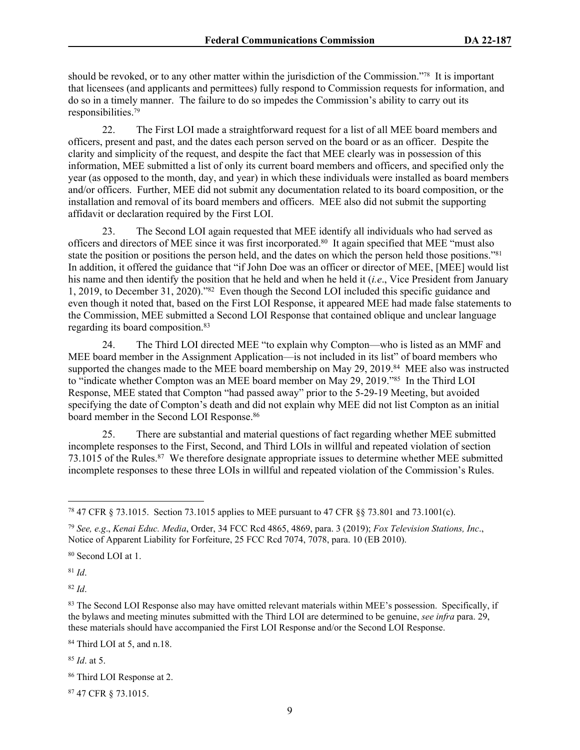should be revoked, or to any other matter within the jurisdiction of the Commission."78 It is important that licensees (and applicants and permittees) fully respond to Commission requests for information, and do so in a timely manner. The failure to do so impedes the Commission's ability to carry out its responsibilities.<sup>79</sup>

22. The First LOI made a straightforward request for a list of all MEE board members and officers, present and past, and the dates each person served on the board or as an officer. Despite the clarity and simplicity of the request, and despite the fact that MEE clearly was in possession of this information, MEE submitted a list of only its current board members and officers, and specified only the year (as opposed to the month, day, and year) in which these individuals were installed as board members and/or officers. Further, MEE did not submit any documentation related to its board composition, or the installation and removal of its board members and officers. MEE also did not submit the supporting affidavit or declaration required by the First LOI.

23. The Second LOI again requested that MEE identify all individuals who had served as officers and directors of MEE since it was first incorporated.<sup>80</sup> It again specified that MEE "must also state the position or positions the person held, and the dates on which the person held those positions."<sup>81</sup> In addition, it offered the guidance that "if John Doe was an officer or director of MEE, [MEE] would list his name and then identify the position that he held and when he held it (*i.e*., Vice President from January 1, 2019, to December 31, 2020)."<sup>82</sup> Even though the Second LOI included this specific guidance and even though it noted that, based on the First LOI Response, it appeared MEE had made false statements to the Commission, MEE submitted a Second LOI Response that contained oblique and unclear language regarding its board composition.<sup>83</sup>

24. The Third LOI directed MEE "to explain why Compton—who is listed as an MMF and MEE board member in the Assignment Application—is not included in its list" of board members who supported the changes made to the MEE board membership on May 29, 2019.<sup>84</sup> MEE also was instructed to "indicate whether Compton was an MEE board member on May 29, 2019."<sup>85</sup> In the Third LOI Response, MEE stated that Compton "had passed away" prior to the 5-29-19 Meeting, but avoided specifying the date of Compton's death and did not explain why MEE did not list Compton as an initial board member in the Second LOI Response.<sup>86</sup>

25. There are substantial and material questions of fact regarding whether MEE submitted incomplete responses to the First, Second, and Third LOIs in willful and repeated violation of section 73.1015 of the Rules.<sup>87</sup> We therefore designate appropriate issues to determine whether MEE submitted incomplete responses to these three LOIs in willful and repeated violation of the Commission's Rules.

<sup>80</sup> Second LOI at 1.

<sup>81</sup> *Id*.

<sup>82</sup> *Id*.

<sup>84</sup> Third LOI at 5, and n.18.

<sup>85</sup> *Id*. at 5.

<sup>78</sup> 47 CFR § 73.1015. Section 73.1015 applies to MEE pursuant to 47 CFR §§ 73.801 and 73.1001(c).

<sup>79</sup> *See, e.g*., *Kenai Educ. Media*, Order, 34 FCC Rcd 4865, 4869, para. 3 (2019); *Fox Television Stations, Inc*., Notice of Apparent Liability for Forfeiture, 25 FCC Rcd 7074, 7078, para. 10 (EB 2010).

<sup>83</sup> The Second LOI Response also may have omitted relevant materials within MEE's possession. Specifically, if the bylaws and meeting minutes submitted with the Third LOI are determined to be genuine, *see infra* para. 29, these materials should have accompanied the First LOI Response and/or the Second LOI Response.

<sup>86</sup> Third LOI Response at 2.

<sup>87</sup> 47 CFR § 73.1015.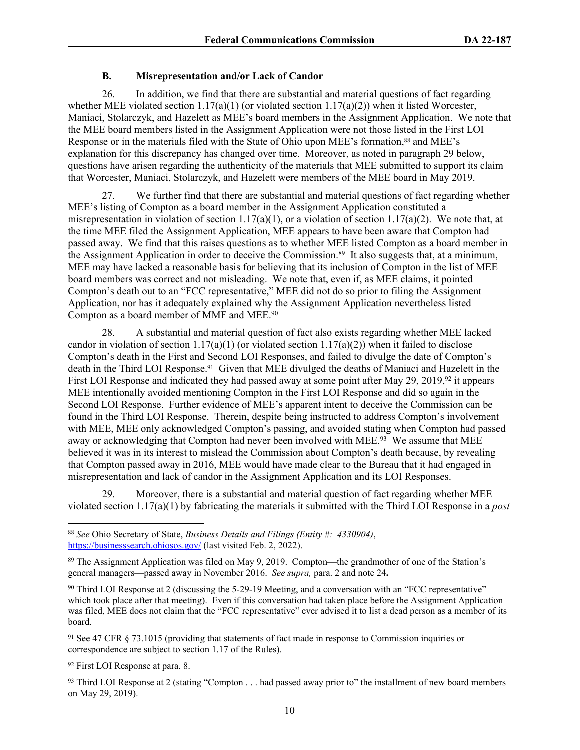## **B. Misrepresentation and/or Lack of Candor**

26. In addition, we find that there are substantial and material questions of fact regarding whether MEE violated section  $1.17(a)(1)$  (or violated section  $1.17(a)(2)$ ) when it listed Worcester, Maniaci, Stolarczyk, and Hazelett as MEE's board members in the Assignment Application. We note that the MEE board members listed in the Assignment Application were not those listed in the First LOI Response or in the materials filed with the State of Ohio upon MEE's formation,<sup>88</sup> and MEE's explanation for this discrepancy has changed over time. Moreover, as noted in paragraph 29 below, questions have arisen regarding the authenticity of the materials that MEE submitted to support its claim that Worcester, Maniaci, Stolarczyk, and Hazelett were members of the MEE board in May 2019.

27. We further find that there are substantial and material questions of fact regarding whether MEE's listing of Compton as a board member in the Assignment Application constituted a misrepresentation in violation of section 1.17(a)(1), or a violation of section 1.17(a)(2). We note that, at the time MEE filed the Assignment Application, MEE appears to have been aware that Compton had passed away. We find that this raises questions as to whether MEE listed Compton as a board member in the Assignment Application in order to deceive the Commission.<sup>89</sup> It also suggests that, at a minimum, MEE may have lacked a reasonable basis for believing that its inclusion of Compton in the list of MEE board members was correct and not misleading. We note that, even if, as MEE claims, it pointed Compton's death out to an "FCC representative," MEE did not do so prior to filing the Assignment Application, nor has it adequately explained why the Assignment Application nevertheless listed Compton as a board member of MMF and MEE.<sup>90</sup>

28. A substantial and material question of fact also exists regarding whether MEE lacked candor in violation of section 1.17(a)(1) (or violated section 1.17(a)(2)) when it failed to disclose Compton's death in the First and Second LOI Responses, and failed to divulge the date of Compton's death in the Third LOI Response.<sup>91</sup> Given that MEE divulged the deaths of Maniaci and Hazelett in the First LOI Response and indicated they had passed away at some point after May 29, 2019,<sup>92</sup> it appears MEE intentionally avoided mentioning Compton in the First LOI Response and did so again in the Second LOI Response. Further evidence of MEE's apparent intent to deceive the Commission can be found in the Third LOI Response. Therein, despite being instructed to address Compton's involvement with MEE, MEE only acknowledged Compton's passing, and avoided stating when Compton had passed away or acknowledging that Compton had never been involved with MEE.<sup>93</sup> We assume that MEE believed it was in its interest to mislead the Commission about Compton's death because, by revealing that Compton passed away in 2016, MEE would have made clear to the Bureau that it had engaged in misrepresentation and lack of candor in the Assignment Application and its LOI Responses.

29. Moreover, there is a substantial and material question of fact regarding whether MEE violated section 1.17(a)(1) by fabricating the materials it submitted with the Third LOI Response in a *post* 

<sup>88</sup> *See* Ohio Secretary of State, *Business Details and Filings (Entity #: 4330904)*, <https://businesssearch.ohiosos.gov/>(last visited Feb. 2, 2022).

<sup>89</sup> The Assignment Application was filed on May 9, 2019. Compton—the grandmother of one of the Station's general managers—passed away in November 2016. *See supra,* para. 2 and note 24**.**

<sup>90</sup> Third LOI Response at 2 (discussing the 5-29-19 Meeting, and a conversation with an "FCC representative" which took place after that meeting). Even if this conversation had taken place before the Assignment Application was filed, MEE does not claim that the "FCC representative" ever advised it to list a dead person as a member of its board.

<sup>91</sup> See 47 CFR § 73.1015 (providing that statements of fact made in response to Commission inquiries or correspondence are subject to section 1.17 of the Rules).

<sup>92</sup> First LOI Response at para. 8.

<sup>93</sup> Third LOI Response at 2 (stating "Compton . . . had passed away prior to" the installment of new board members on May 29, 2019).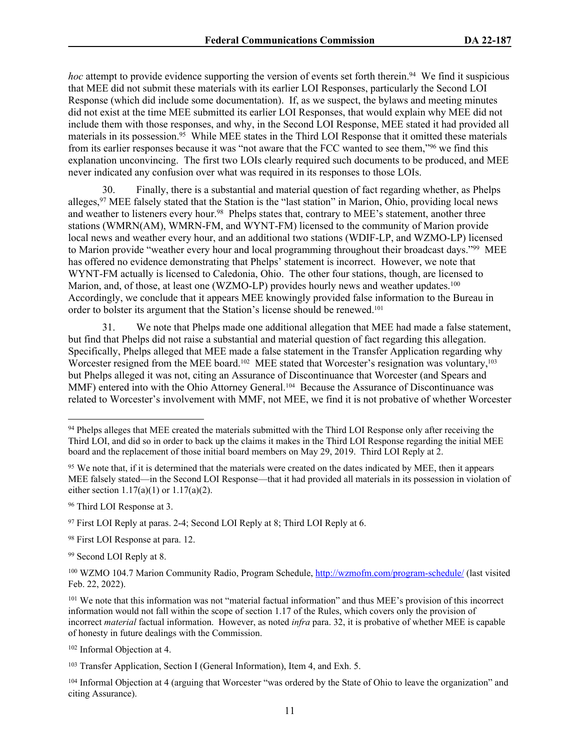*hoc* attempt to provide evidence supporting the version of events set forth therein.<sup>94</sup> We find it suspicious that MEE did not submit these materials with its earlier LOI Responses, particularly the Second LOI Response (which did include some documentation). If, as we suspect, the bylaws and meeting minutes did not exist at the time MEE submitted its earlier LOI Responses, that would explain why MEE did not include them with those responses, and why, in the Second LOI Response, MEE stated it had provided all materials in its possession.<sup>95</sup> While MEE states in the Third LOI Response that it omitted these materials from its earlier responses because it was "not aware that the FCC wanted to see them,"<sup>96</sup> we find this explanation unconvincing. The first two LOIs clearly required such documents to be produced, and MEE never indicated any confusion over what was required in its responses to those LOIs.

30. Finally, there is a substantial and material question of fact regarding whether, as Phelps alleges,<sup>97</sup> MEE falsely stated that the Station is the "last station" in Marion, Ohio, providing local news and weather to listeners every hour.<sup>98</sup> Phelps states that, contrary to MEE's statement, another three stations (WMRN(AM), WMRN-FM, and WYNT-FM) licensed to the community of Marion provide local news and weather every hour, and an additional two stations (WDIF-LP, and WZMO-LP) licensed to Marion provide "weather every hour and local programming throughout their broadcast days."<sup>99</sup> MEE has offered no evidence demonstrating that Phelps' statement is incorrect. However, we note that WYNT-FM actually is licensed to Caledonia, Ohio. The other four stations, though, are licensed to Marion, and, of those, at least one (WZMO-LP) provides hourly news and weather updates.<sup>100</sup> Accordingly, we conclude that it appears MEE knowingly provided false information to the Bureau in order to bolster its argument that the Station's license should be renewed.<sup>101</sup>

31. We note that Phelps made one additional allegation that MEE had made a false statement, but find that Phelps did not raise a substantial and material question of fact regarding this allegation. Specifically, Phelps alleged that MEE made a false statement in the Transfer Application regarding why Worcester resigned from the MEE board.<sup>102</sup> MEE stated that Worcester's resignation was voluntary,<sup>103</sup> but Phelps alleged it was not, citing an Assurance of Discontinuance that Worcester (and Spears and MMF) entered into with the Ohio Attorney General.<sup>104</sup> Because the Assurance of Discontinuance was related to Worcester's involvement with MMF, not MEE, we find it is not probative of whether Worcester

<sup>96</sup> Third LOI Response at 3.

<sup>&</sup>lt;sup>94</sup> Phelps alleges that MEE created the materials submitted with the Third LOI Response only after receiving the Third LOI, and did so in order to back up the claims it makes in the Third LOI Response regarding the initial MEE board and the replacement of those initial board members on May 29, 2019. Third LOI Reply at 2.

<sup>&</sup>lt;sup>95</sup> We note that, if it is determined that the materials were created on the dates indicated by MEE, then it appears MEE falsely stated—in the Second LOI Response—that it had provided all materials in its possession in violation of either section  $1.17(a)(1)$  or  $1.17(a)(2)$ .

<sup>97</sup> First LOI Reply at paras. 2-4; Second LOI Reply at 8; Third LOI Reply at 6.

<sup>98</sup> First LOI Response at para. 12.

<sup>99</sup> Second LOI Reply at 8.

<sup>100</sup> WZMO 104.7 Marion Community Radio, Program Schedule,<http://wzmofm.com/program-schedule/> (last visited Feb. 22, 2022).

<sup>101</sup> We note that this information was not "material factual information" and thus MEE's provision of this incorrect information would not fall within the scope of section 1.17 of the Rules, which covers only the provision of incorrect *material* factual information. However, as noted *infra* para. 32, it is probative of whether MEE is capable of honesty in future dealings with the Commission.

<sup>102</sup> Informal Objection at 4.

<sup>103</sup> Transfer Application, Section I (General Information), Item 4, and Exh. 5.

<sup>104</sup> Informal Objection at 4 (arguing that Worcester "was ordered by the State of Ohio to leave the organization" and citing Assurance).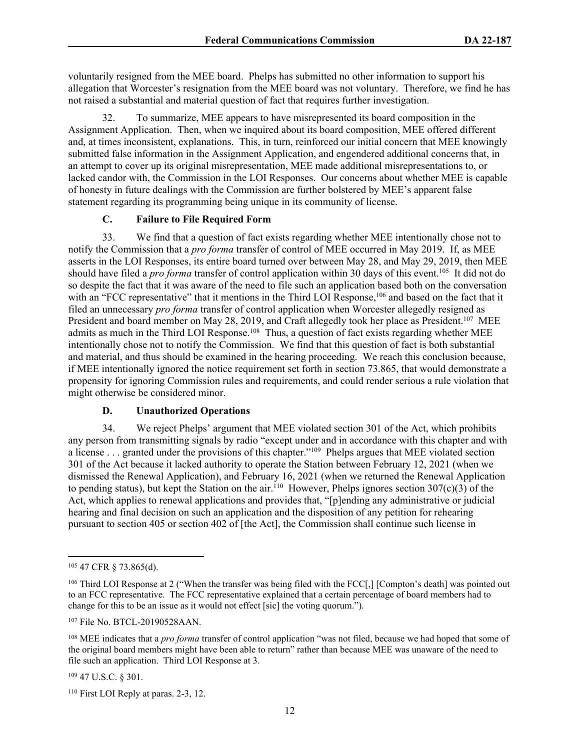voluntarily resigned from the MEE board. Phelps has submitted no other information to support his allegation that Worcester's resignation from the MEE board was not voluntary. Therefore, we find he has not raised a substantial and material question of fact that requires further investigation.

32. To summarize, MEE appears to have misrepresented its board composition in the Assignment Application. Then, when we inquired about its board composition, MEE offered different and, at times inconsistent, explanations. This, in turn, reinforced our initial concern that MEE knowingly submitted false information in the Assignment Application, and engendered additional concerns that, in an attempt to cover up its original misrepresentation, MEE made additional misrepresentations to, or lacked candor with, the Commission in the LOI Responses. Our concerns about whether MEE is capable of honesty in future dealings with the Commission are further bolstered by MEE's apparent false statement regarding its programming being unique in its community of license.

# **C. Failure to File Required Form**

33. We find that a question of fact exists regarding whether MEE intentionally chose not to notify the Commission that a *pro forma* transfer of control of MEE occurred in May 2019. If, as MEE asserts in the LOI Responses, its entire board turned over between May 28, and May 29, 2019, then MEE should have filed a *pro forma* transfer of control application within 30 days of this event.<sup>105</sup> It did not do so despite the fact that it was aware of the need to file such an application based both on the conversation with an "FCC representative" that it mentions in the Third LOI Response,<sup>106</sup> and based on the fact that it filed an unnecessary *pro forma* transfer of control application when Worcester allegedly resigned as President and board member on May 28, 2019, and Craft allegedly took her place as President.<sup>107</sup> MEE admits as much in the Third LOI Response.<sup>108</sup> Thus, a question of fact exists regarding whether MEE intentionally chose not to notify the Commission. We find that this question of fact is both substantial and material, and thus should be examined in the hearing proceeding. We reach this conclusion because, if MEE intentionally ignored the notice requirement set forth in section 73.865, that would demonstrate a propensity for ignoring Commission rules and requirements, and could render serious a rule violation that might otherwise be considered minor.

# **D. Unauthorized Operations**

34. We reject Phelps' argument that MEE violated section 301 of the Act, which prohibits any person from transmitting signals by radio "except under and in accordance with this chapter and with a license . . . granted under the provisions of this chapter."<sup>109</sup> Phelps argues that MEE violated section 301 of the Act because it lacked authority to operate the Station between February 12, 2021 (when we dismissed the Renewal Application), and February 16, 2021 (when we returned the Renewal Application to pending status), but kept the Station on the air.<sup>110</sup> However, Phelps ignores section 307(c)(3) of the Act, which applies to renewal applications and provides that, "[p]ending any administrative or judicial hearing and final decision on such an application and the disposition of any petition for rehearing pursuant to section 405 or section 402 of [the Act], the Commission shall continue such license in

<sup>107</sup> File No. BTCL-20190528AAN.

<sup>109</sup> 47 U.S.C. § 301.

<sup>105</sup> 47 CFR § 73.865(d).

<sup>&</sup>lt;sup>106</sup> Third LOI Response at 2 ("When the transfer was being filed with the FCC[,] [Compton's death] was pointed out to an FCC representative. The FCC representative explained that a certain percentage of board members had to change for this to be an issue as it would not effect [sic] the voting quorum.").

<sup>108</sup> MEE indicates that a *pro forma* transfer of control application "was not filed, because we had hoped that some of the original board members might have been able to return" rather than because MEE was unaware of the need to file such an application. Third LOI Response at 3.

<sup>110</sup> First LOI Reply at paras. 2-3, 12.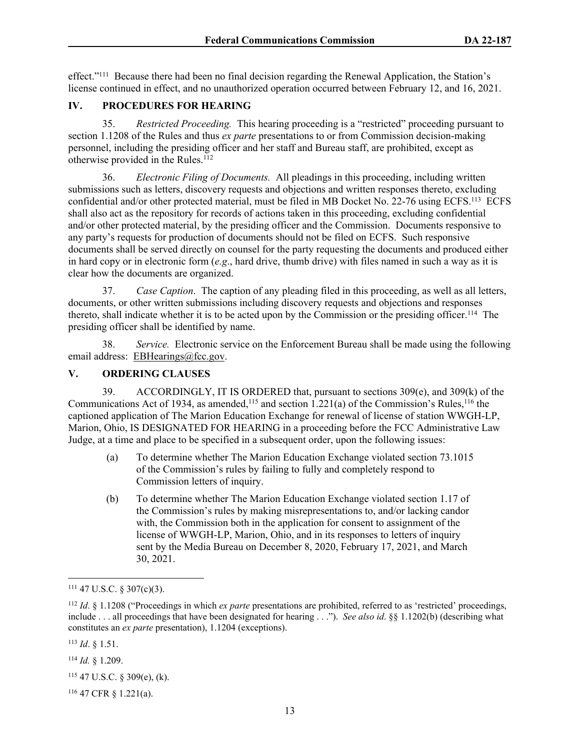effect."<sup>111</sup> Because there had been no final decision regarding the Renewal Application, the Station's license continued in effect, and no unauthorized operation occurred between February 12, and 16, 2021.

## **IV. PROCEDURES FOR HEARING**

35. *Restricted Proceeding.* This hearing proceeding is a "restricted" proceeding pursuant to section 1.1208 of the Rules and thus *ex parte* presentations to or from Commission decision-making personnel, including the presiding officer and her staff and Bureau staff, are prohibited, except as otherwise provided in the Rules.<sup>112</sup>

36. *Electronic Filing of Documents.* All pleadings in this proceeding, including written submissions such as letters, discovery requests and objections and written responses thereto, excluding confidential and/or other protected material, must be filed in MB Docket No. 22-76 using ECFS.<sup>113</sup> ECFS shall also act as the repository for records of actions taken in this proceeding, excluding confidential and/or other protected material, by the presiding officer and the Commission. Documents responsive to any party's requests for production of documents should not be filed on ECFS. Such responsive documents shall be served directly on counsel for the party requesting the documents and produced either in hard copy or in electronic form (*e.g*., hard drive, thumb drive) with files named in such a way as it is clear how the documents are organized.

37. *Case Caption*. The caption of any pleading filed in this proceeding, as well as all letters, documents, or other written submissions including discovery requests and objections and responses thereto, shall indicate whether it is to be acted upon by the Commission or the presiding officer.<sup>114</sup> The presiding officer shall be identified by name.

38. *Service.* Electronic service on the Enforcement Bureau shall be made using the following email address: [EBHearings@fcc.gov](mailto:EBHearings@fcc.gov).

## **V. ORDERING CLAUSES**

39. ACCORDINGLY, IT IS ORDERED that, pursuant to sections 309(e), and 309(k) of the Communications Act of 1934, as amended,<sup>115</sup> and section  $1.221(a)$  of the Commission's Rules,<sup>116</sup> the captioned application of The Marion Education Exchange for renewal of license of station WWGH-LP, Marion, Ohio, IS DESIGNATED FOR HEARING in a proceeding before the FCC Administrative Law Judge, at a time and place to be specified in a subsequent order, upon the following issues:

- (a) To determine whether The Marion Education Exchange violated section 73.1015 of the Commission's rules by failing to fully and completely respond to Commission letters of inquiry.
- (b) To determine whether The Marion Education Exchange violated section 1.17 of the Commission's rules by making misrepresentations to, and/or lacking candor with, the Commission both in the application for consent to assignment of the license of WWGH-LP, Marion, Ohio, and in its responses to letters of inquiry sent by the Media Bureau on December 8, 2020, February 17, 2021, and March 30, 2021.

<sup>113</sup> *Id*. § 1.51.

<sup>114</sup> *Id.* § 1.209.

<sup>115</sup> 47 U.S.C. § 309(e), (k).

 $111$  47 U.S.C. § 307(c)(3).

<sup>112</sup> *Id*. § 1.1208 ("Proceedings in which *ex parte* presentations are prohibited, referred to as 'restricted' proceedings, include . . . all proceedings that have been designated for hearing . . ."). *See also id*. §§ 1.1202(b) (describing what constitutes an *ex parte* presentation), 1.1204 (exceptions).

<sup>116</sup> 47 CFR § 1.221(a).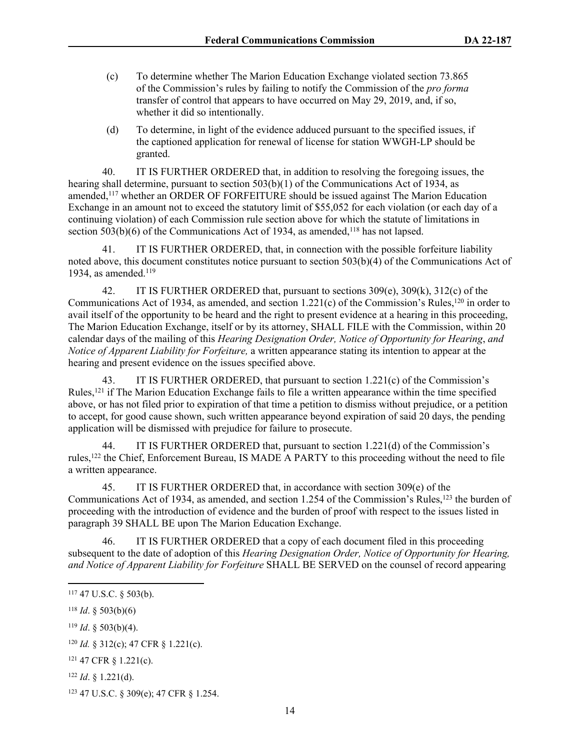- (c) To determine whether The Marion Education Exchange violated section 73.865 of the Commission's rules by failing to notify the Commission of the *pro forma* transfer of control that appears to have occurred on May 29, 2019, and, if so, whether it did so intentionally.
- (d) To determine, in light of the evidence adduced pursuant to the specified issues, if the captioned application for renewal of license for station WWGH-LP should be granted.

40. IT IS FURTHER ORDERED that, in addition to resolving the foregoing issues, the hearing shall determine, pursuant to section 503(b)(1) of the Communications Act of 1934, as amended,<sup>117</sup> whether an ORDER OF FORFEITURE should be issued against The Marion Education Exchange in an amount not to exceed the statutory limit of \$55,052 for each violation (or each day of a continuing violation) of each Commission rule section above for which the statute of limitations in section  $503(b)(6)$  of the Communications Act of 1934, as amended,<sup>118</sup> has not lapsed.

41. IT IS FURTHER ORDERED, that, in connection with the possible forfeiture liability noted above, this document constitutes notice pursuant to section 503(b)(4) of the Communications Act of 1934, as amended.<sup>119</sup>

42. IT IS FURTHER ORDERED that, pursuant to sections 309(e), 309(k), 312(c) of the Communications Act of 1934, as amended, and section 1.221(c) of the Commission's Rules,<sup>120</sup> in order to avail itself of the opportunity to be heard and the right to present evidence at a hearing in this proceeding, The Marion Education Exchange, itself or by its attorney, SHALL FILE with the Commission, within 20 calendar days of the mailing of this *Hearing Designation Order, Notice of Opportunity for Hearing*, *and Notice of Apparent Liability for Forfeiture,* a written appearance stating its intention to appear at the hearing and present evidence on the issues specified above.

43. IT IS FURTHER ORDERED, that pursuant to section 1.221(c) of the Commission's Rules,<sup>121</sup> if The Marion Education Exchange fails to file a written appearance within the time specified above, or has not filed prior to expiration of that time a petition to dismiss without prejudice, or a petition to accept, for good cause shown, such written appearance beyond expiration of said 20 days, the pending application will be dismissed with prejudice for failure to prosecute.

44. IT IS FURTHER ORDERED that, pursuant to section 1.221(d) of the Commission's rules,<sup>122</sup> the Chief, Enforcement Bureau, IS MADE A PARTY to this proceeding without the need to file a written appearance.

45. IT IS FURTHER ORDERED that, in accordance with section 309(e) of the Communications Act of 1934, as amended, and section 1.254 of the Commission's Rules,<sup>123</sup> the burden of proceeding with the introduction of evidence and the burden of proof with respect to the issues listed in paragraph 39 SHALL BE upon The Marion Education Exchange.

46. IT IS FURTHER ORDERED that a copy of each document filed in this proceeding subsequent to the date of adoption of this *Hearing Designation Order, Notice of Opportunity for Hearing, and Notice of Apparent Liability for Forfeiture* SHALL BE SERVED on the counsel of record appearing

<sup>117</sup> 47 U.S.C. § 503(b).

 $118$  *Id.* § 503(b)(6)

<sup>119</sup> *Id*. § 503(b)(4).

<sup>120</sup> *Id.* § 312(c); 47 CFR § 1.221(c).

<sup>121</sup> 47 CFR § 1.221(c).

<sup>122</sup> *Id*. § 1.221(d).

<sup>123</sup> 47 U.S.C. § 309(e); 47 CFR § 1.254.